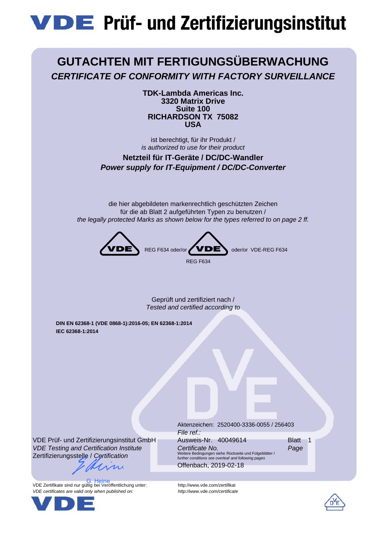# **VDE** Prüf- und Zertifizierungsinstitut

## **GUTACHTEN MIT FERTIGUNGSÜBERWACHUNG** *CERTIFICATE OF CONFORMITY WITH FACTORY SURVEILLANCE*

**TDK-Lambda Americas Inc. 3320 Matrix Drive Suite 100 RICHARDSON TX 75082 USA**

ist berechtigt, für ihr Produkt / *is authorized to use for their product*

**Netzteil für IT-Geräte / DC/DC-Wandler** *Power supply for IT-Equipment / DC/DC-Converter*

die hier abgebildeten markenrechtlich geschützten Zeichen für die ab Blatt 2 aufgeführten Typen zu benutzen / *the legally protected Marks as shown below for the types referred to on page 2 ff.*



Geprüft und zertifiziert nach / *Tested and certified according to*

**DIN EN 62368-1 (VDE 0868-1):2016-05; EN 62368-1:2014 IEC 62368-1:2014**

VDE Prüf- und Zertifizierungsinstitut GmbH *VDE Testing and Certification Institute* Zertifizierungsstelle / *Certification*

 $\mathcal{U}$ 

VDE Zertifikate sind nur gültig bei Veröffentlichung unter: http://www.vde.com/zertifikat *VDE certificates are valid only when published on: http://www.vde.com/certificate* G. Heine



Aktenzeichen: 2520400-3336-0055 / 256403 *File ref.:* Ausweis-Nr. 40049614 Blatt 1 *Certificate No. Page* Weitere Bedingungen siehe Rückseite und Folgeblätter / *further conditions see overleaf and following pages*

Offenbach, 2019-02-18

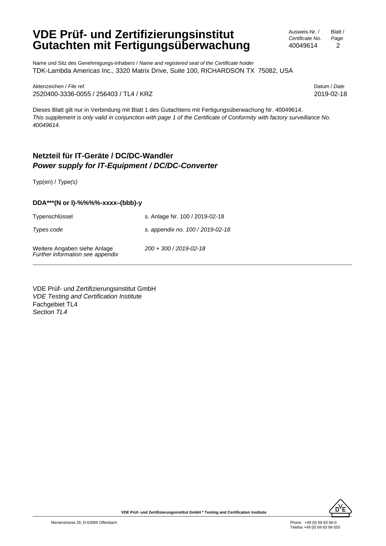### **VDE Prüf- und Zertifizierungsinstitut Gutachten mit Fertigungsüberwachung**

Name und Sitz des Genehmigungs-Inhabers / *Name and registered seat of the Certificate holder* TDK-Lambda Americas Inc., 3320 Matrix Drive, Suite 100, RICHARDSON TX 75082, USA

Aktenzeichen / *File ref.* Datum / *Date* 2520400-3336-0055 / 256403 / TL4 / KRZ 2019-02-18

Dieses Blatt gilt nur in Verbindung mit Blatt 1 des Gutachtens mit Fertigungsüberwachung Nr. 40049614. *This supplement is only valid in conjunction with page 1 of the Certificate of Conformity with factory surveillance No. 40049614.*

### **Netzteil für IT-Geräte / DC/DC-Wandler** *Power supply for IT-Equipment / DC/DC-Converter*

Typ(en) / *Type(s)*

#### **DDA\*\*\*(N or I)-%%%%-xxxx–(bbb)-y**

Typenschlüssel s. Anlage Nr. 100 / 2019-02-18

Fachgebiet TL4 *Section TL4*

*Types code s. appendix no. 100 / 2019-02-18*

*200 + 300 / 2019-02-18*

\_\_\_\_\_\_\_\_\_\_\_\_\_\_\_\_\_\_\_\_\_\_\_\_\_\_\_\_\_\_\_\_\_\_\_\_\_\_\_\_\_\_\_\_\_\_\_\_\_\_\_\_\_\_\_\_\_\_\_\_\_\_\_\_\_\_\_\_\_\_\_\_\_\_\_\_\_\_\_\_\_\_

VDE Prüf- und Zertifizierungsinstitut GmbH

*VDE Testing and Certification Institute*

Weitere Angaben siehe Anlage *Further information see appendix*

 $\overbrace{\mathsf{D'E}}$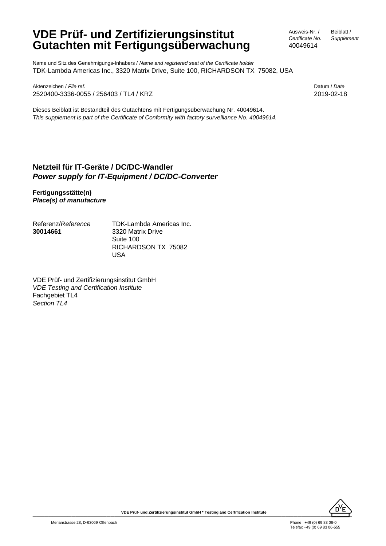### **VDE Prüf- und Zertifizierungsinstitut Gutachten mit Fertigungsüberwachung**

Ausweis-Nr. / *Certificate No.* 40049614

Beiblatt / *Supplement*

Name und Sitz des Genehmigungs-Inhabers / *Name and registered seat of the Certificate holder* TDK-Lambda Americas Inc., 3320 Matrix Drive, Suite 100, RICHARDSON TX 75082, USA

Aktenzeichen / *File ref.* Datum / *Date* 2520400-3336-0055 / 256403 / TL4 / KRZ 2019-02-18

Dieses Beiblatt ist Bestandteil des Gutachtens mit Fertigungsüberwachung Nr. 40049614. *This supplement is part of the Certificate of Conformity with factory surveillance No. 40049614.*

### **Netzteil für IT-Geräte / DC/DC-Wandler** *Power supply for IT-Equipment / DC/DC-Converter*

**Fertigungsstätte(n)** *Place(s) of manufacture*

Referenz/*Reference* **30014661**

TDK-Lambda Americas Inc. 3320 Matrix Drive Suite 100 RICHARDSON TX 75082 USA

VDE Prüf- und Zertifizierungsinstitut GmbH *VDE Testing and Certification Institute* Fachgebiet TL4 *Section TL4*